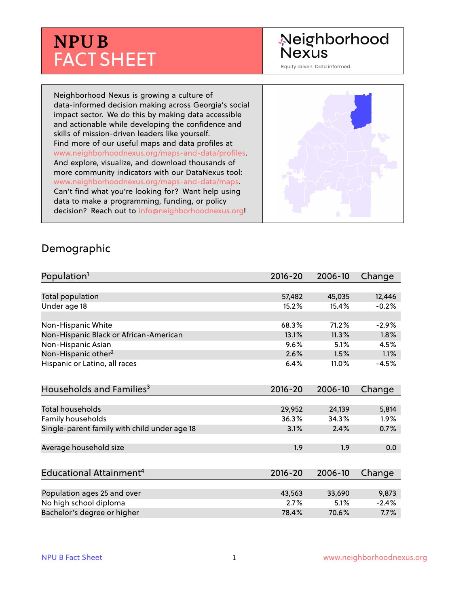# **NPU B** FACT SHEET

# Neighborhood **Nexus**

Equity driven. Data informed.

Neighborhood Nexus is growing a culture of data-informed decision making across Georgia's social impact sector. We do this by making data accessible and actionable while developing the confidence and skills of mission-driven leaders like yourself. Find more of our useful maps and data profiles at www.neighborhoodnexus.org/maps-and-data/profiles. And explore, visualize, and download thousands of more community indicators with our DataNexus tool: www.neighborhoodnexus.org/maps-and-data/maps. Can't find what you're looking for? Want help using data to make a programming, funding, or policy decision? Reach out to [info@neighborhoodnexus.org!](mailto:info@neighborhoodnexus.org)



#### Demographic

| Population <sup>1</sup>                      | $2016 - 20$ | 2006-10 | Change  |
|----------------------------------------------|-------------|---------|---------|
|                                              |             |         |         |
| Total population                             | 57,482      | 45,035  | 12,446  |
| Under age 18                                 | 15.2%       | 15.4%   | $-0.2%$ |
|                                              |             |         |         |
| Non-Hispanic White                           | 68.3%       | 71.2%   | $-2.9%$ |
| Non-Hispanic Black or African-American       | 13.1%       | 11.3%   | 1.8%    |
| Non-Hispanic Asian                           | 9.6%        | 5.1%    | 4.5%    |
| Non-Hispanic other <sup>2</sup>              | 2.6%        | 1.5%    | 1.1%    |
| Hispanic or Latino, all races                | 6.4%        | 11.0%   | $-4.5%$ |
| Households and Families <sup>3</sup>         | $2016 - 20$ | 2006-10 | Change  |
|                                              |             |         |         |
| <b>Total households</b>                      | 29,952      | 24,139  | 5,814   |
| Family households                            | 36.3%       | 34.3%   | 1.9%    |
| Single-parent family with child under age 18 | 3.1%        | 2.4%    | 0.7%    |
|                                              |             |         |         |
| Average household size                       | 1.9         | 1.9     | 0.0     |
|                                              |             |         |         |
| Educational Attainment <sup>4</sup>          | $2016 - 20$ | 2006-10 | Change  |
|                                              |             |         |         |
| Population ages 25 and over                  | 43,563      | 33,690  | 9,873   |
| No high school diploma                       | 2.7%        | 5.1%    | $-2.4%$ |
| Bachelor's degree or higher                  | 78.4%       | 70.6%   | 7.7%    |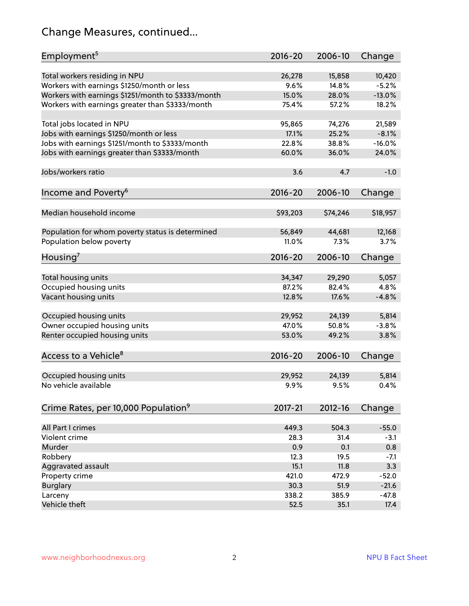# Change Measures, continued...

| Employment <sup>5</sup>                            | $2016 - 20$ | 2006-10  | Change   |
|----------------------------------------------------|-------------|----------|----------|
|                                                    |             |          |          |
| Total workers residing in NPU                      | 26,278      | 15,858   | 10,420   |
| Workers with earnings \$1250/month or less         | 9.6%        | 14.8%    | $-5.2%$  |
| Workers with earnings \$1251/month to \$3333/month | 15.0%       | 28.0%    | $-13.0%$ |
| Workers with earnings greater than \$3333/month    | 75.4%       | 57.2%    | 18.2%    |
|                                                    |             |          |          |
| Total jobs located in NPU                          | 95,865      | 74,276   | 21,589   |
| Jobs with earnings \$1250/month or less            | 17.1%       | 25.2%    | $-8.1%$  |
| Jobs with earnings \$1251/month to \$3333/month    | 22.8%       | 38.8%    | $-16.0%$ |
| Jobs with earnings greater than \$3333/month       | 60.0%       | 36.0%    | 24.0%    |
|                                                    |             |          |          |
| Jobs/workers ratio                                 | 3.6         | 4.7      | $-1.0$   |
|                                                    |             |          |          |
| Income and Poverty <sup>6</sup>                    | $2016 - 20$ | 2006-10  | Change   |
|                                                    |             |          |          |
| Median household income                            | \$93,203    | \$74,246 | \$18,957 |
|                                                    |             |          |          |
| Population for whom poverty status is determined   | 56,849      | 44,681   | 12,168   |
| Population below poverty                           |             |          | 3.7%     |
|                                                    | 11.0%       | 7.3%     |          |
| Housing <sup>7</sup>                               | $2016 - 20$ | 2006-10  | Change   |
|                                                    |             |          |          |
| Total housing units                                | 34,347      | 29,290   | 5,057    |
| Occupied housing units                             | 87.2%       | 82.4%    | 4.8%     |
| Vacant housing units                               | 12.8%       | 17.6%    | $-4.8%$  |
|                                                    |             |          |          |
| Occupied housing units                             | 29,952      | 24,139   | 5,814    |
| Owner occupied housing units                       | 47.0%       | 50.8%    | $-3.8%$  |
| Renter occupied housing units                      | 53.0%       | 49.2%    | 3.8%     |
|                                                    |             |          |          |
| Access to a Vehicle <sup>8</sup>                   | $2016 - 20$ | 2006-10  |          |
|                                                    |             |          | Change   |
|                                                    |             |          |          |
| Occupied housing units                             | 29,952      | 24,139   | 5,814    |
| No vehicle available                               | 9.9%        | 9.5%     | 0.4%     |
|                                                    |             |          |          |
| Crime Rates, per 10,000 Population <sup>9</sup>    | 2017-21     | 2012-16  | Change   |
|                                                    |             |          |          |
| All Part I crimes                                  | 449.3       | 504.3    | $-55.0$  |
| Violent crime                                      | 28.3        | 31.4     | $-3.1$   |
| Murder                                             | 0.9         | 0.1      | 0.8      |
| Robbery                                            | 12.3        | 19.5     | $-7.1$   |
| Aggravated assault                                 | 15.1        | 11.8     | 3.3      |
| Property crime                                     | 421.0       | 472.9    | $-52.0$  |
| <b>Burglary</b>                                    | 30.3        | 51.9     | $-21.6$  |
| Larceny                                            | 338.2       | 385.9    | $-47.8$  |
| Vehicle theft                                      | 52.5        | 35.1     | 17.4     |
|                                                    |             |          |          |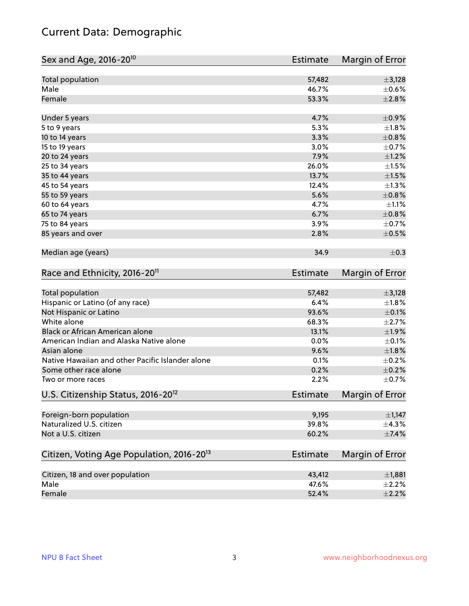# Current Data: Demographic

| Sex and Age, 2016-20 <sup>10</sup>                    | Estimate        | Margin of Error        |
|-------------------------------------------------------|-----------------|------------------------|
| Total population                                      | 57,482          | $\pm$ 3,128            |
| Male                                                  | 46.7%           | $\pm$ 0.6%             |
| Female                                                | 53.3%           | ±2.8%                  |
| Under 5 years                                         | 4.7%            | $\pm$ 0.9%             |
| 5 to 9 years                                          | 5.3%            | $\pm1.8\%$             |
| 10 to 14 years                                        | 3.3%            | $\pm$ 0.8%             |
| 15 to 19 years                                        | 3.0%            | $\pm$ 0.7%             |
| 20 to 24 years                                        | 7.9%            | $\pm 1.2\%$            |
| 25 to 34 years                                        | 26.0%           | $\pm 1.5\%$            |
| 35 to 44 years                                        | 13.7%           | $\pm 1.5\%$            |
| 45 to 54 years                                        | 12.4%           | $\pm 1.3\%$            |
| 55 to 59 years                                        | 5.6%            | $\pm$ 0.8%             |
| 60 to 64 years                                        | 4.7%            | $\pm 1.1\%$            |
| 65 to 74 years                                        | 6.7%            | $\pm$ 0.8%             |
| 75 to 84 years                                        | 3.9%            | $\pm$ 0.7%             |
| 85 years and over                                     | 2.8%            | $\pm$ 0.5%             |
| Median age (years)                                    | 34.9            | $\pm$ 0.3              |
| Race and Ethnicity, 2016-20 <sup>11</sup>             | <b>Estimate</b> | Margin of Error        |
| Total population                                      | 57,482          | $\pm$ 3,128            |
| Hispanic or Latino (of any race)                      | 6.4%            | $\pm 1.8\%$            |
| Not Hispanic or Latino                                | 93.6%           | $\pm$ 0.1%             |
| White alone                                           | 68.3%           | $\pm 2.7\%$            |
| Black or African American alone                       | 13.1%           | $\pm$ 1.9%             |
| American Indian and Alaska Native alone               | 0.0%            | $\pm$ 0.1%             |
| Asian alone                                           | 9.6%            | $\pm1.8\%$             |
| Native Hawaiian and other Pacific Islander alone      | 0.1%            | $\pm$ 0.2%             |
| Some other race alone                                 | 0.2%            | $\pm$ 0.2%             |
| Two or more races                                     | 2.2%            | $\pm$ 0.7%             |
| U.S. Citizenship Status, 2016-20 <sup>12</sup>        | Estimate        | <b>Margin of Error</b> |
| Foreign-born population                               | 9,195           | $\pm$ 1,147            |
| Naturalized U.S. citizen                              | 39.8%           | $\pm$ 4.3%             |
| Not a U.S. citizen                                    | 60.2%           | $\pm$ 7.4%             |
| Citizen, Voting Age Population, 2016-20 <sup>13</sup> | <b>Estimate</b> | Margin of Error        |
| Citizen, 18 and over population                       | 43,412          | ±1,881                 |
| Male                                                  | 47.6%           | $\pm 2.2\%$            |
| Female                                                | 52.4%           | $\pm 2.2\%$            |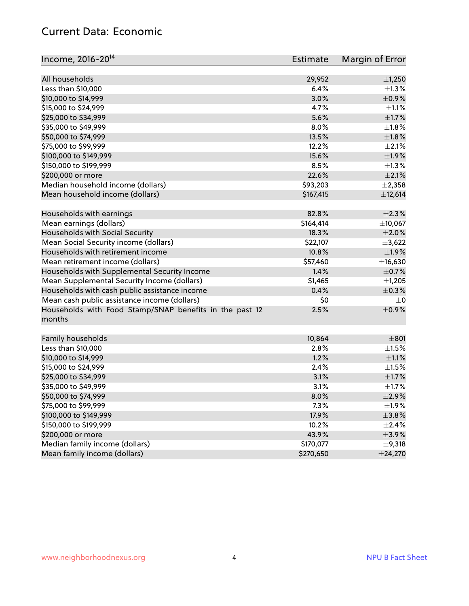#### Current Data: Economic

| Income, 2016-20 <sup>14</sup>                           | Estimate  | Margin of Error |
|---------------------------------------------------------|-----------|-----------------|
| All households                                          | 29,952    | $\pm$ 1,250     |
| Less than \$10,000                                      | 6.4%      | $\pm 1.3\%$     |
| \$10,000 to \$14,999                                    | 3.0%      | $\pm$ 0.9%      |
|                                                         |           |                 |
| \$15,000 to \$24,999                                    | 4.7%      | $\pm 1.1\%$     |
| \$25,000 to \$34,999                                    | 5.6%      | $\pm 1.7\%$     |
| \$35,000 to \$49,999                                    | 8.0%      | $\pm 1.8\%$     |
| \$50,000 to \$74,999                                    | 13.5%     | ±1.8%           |
| \$75,000 to \$99,999                                    | 12.2%     | $\pm 2.1\%$     |
| \$100,000 to \$149,999                                  | 15.6%     | ±1.9%           |
| \$150,000 to \$199,999                                  | 8.5%      | $\pm 1.3\%$     |
| \$200,000 or more                                       | 22.6%     | $\pm 2.1\%$     |
| Median household income (dollars)                       | \$93,203  | $\pm 2,358$     |
| Mean household income (dollars)                         | \$167,415 | ±12,614         |
| Households with earnings                                | 82.8%     | $\pm 2.3\%$     |
| Mean earnings (dollars)                                 | \$164,414 | ±10,067         |
| Households with Social Security                         | 18.3%     | $\pm 2.0\%$     |
| Mean Social Security income (dollars)                   | \$22,107  | ±3,622          |
| Households with retirement income                       | 10.8%     | ±1.9%           |
| Mean retirement income (dollars)                        | \$57,460  | ±16,630         |
| Households with Supplemental Security Income            | 1.4%      | $\pm$ 0.7%      |
| Mean Supplemental Security Income (dollars)             | \$1,465   | $\pm$ 1,205     |
| Households with cash public assistance income           | 0.4%      | $\pm$ 0.3%      |
| Mean cash public assistance income (dollars)            | \$0       | $\pm 0$         |
| Households with Food Stamp/SNAP benefits in the past 12 | 2.5%      | $\pm$ 0.9%      |
| months                                                  |           |                 |
| Family households                                       | 10,864    | $\pm 801$       |
| Less than \$10,000                                      | 2.8%      | $\pm 1.5\%$     |
| \$10,000 to \$14,999                                    | 1.2%      |                 |
|                                                         |           | $\pm 1.1\%$     |
| \$15,000 to \$24,999                                    | 2.4%      | $\pm 1.5\%$     |
| \$25,000 to \$34,999                                    | 3.1%      | $\pm1.7\%$      |
| \$35,000 to \$49,999                                    | 3.1%      | $\pm 1.7\%$     |
| \$50,000 to \$74,999                                    | 8.0%      | $\pm 2.9\%$     |
| \$75,000 to \$99,999                                    | 7.3%      | ±1.9%           |
| \$100,000 to \$149,999                                  | 17.9%     | $\pm$ 3.8%      |
| \$150,000 to \$199,999                                  | 10.2%     | $\pm 2.4\%$     |
| \$200,000 or more                                       | 43.9%     | $\pm$ 3.9%      |
| Median family income (dollars)                          | \$170,077 | ±9,318          |
| Mean family income (dollars)                            | \$270,650 | $±$ 24,270      |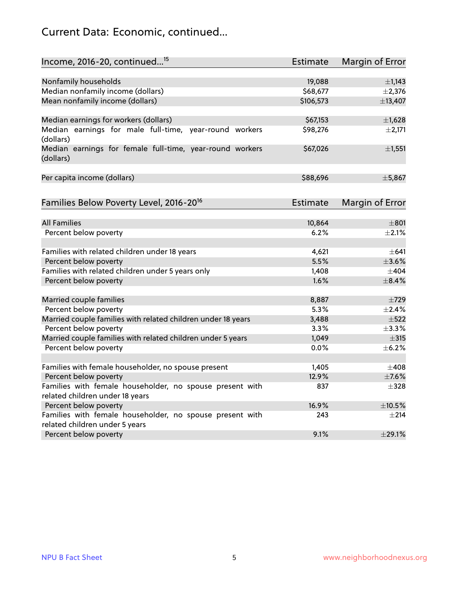# Current Data: Economic, continued...

| Income, 2016-20, continued <sup>15</sup>                              | <b>Estimate</b> | Margin of Error        |
|-----------------------------------------------------------------------|-----------------|------------------------|
|                                                                       |                 |                        |
| Nonfamily households                                                  | 19,088          | $\pm$ 1,143            |
| Median nonfamily income (dollars)                                     | \$68,677        | $\pm 2,376$            |
| Mean nonfamily income (dollars)                                       | \$106,573       | ±13,407                |
| Median earnings for workers (dollars)                                 | \$67,153        | $\pm$ 1,628            |
| Median earnings for male full-time, year-round workers<br>(dollars)   | \$98,276        | ±2,171                 |
| Median earnings for female full-time, year-round workers<br>(dollars) | \$67,026        | $\pm$ 1,551            |
| Per capita income (dollars)                                           | \$88,696        | ±5,867                 |
| Families Below Poverty Level, 2016-20 <sup>16</sup>                   | <b>Estimate</b> | <b>Margin of Error</b> |
|                                                                       |                 |                        |
| <b>All Families</b>                                                   | 10,864          | $\pm 801$              |
| Percent below poverty                                                 | 6.2%            | $+2.1%$                |
| Families with related children under 18 years                         | 4,621           | $\pm 641$              |
| Percent below poverty                                                 | 5.5%            | $\pm 3.6\%$            |
| Families with related children under 5 years only                     | 1,408           | $\pm$ 404              |
| Percent below poverty                                                 | 1.6%            | $\pm$ 8.4%             |
| Married couple families                                               | 8,887           | $\pm 729$              |
| Percent below poverty                                                 | 5.3%            | $\pm 2.4\%$            |
| Married couple families with related children under 18 years          | 3,488           | $\pm$ 522              |
| Percent below poverty                                                 | 3.3%            | $\pm$ 3.3%             |
| Married couple families with related children under 5 years           | 1,049           | $\pm$ 315              |
| Percent below poverty                                                 | 0.0%            | $\pm$ 6.2%             |
| Families with female householder, no spouse present                   | 1,405           | $\pm 408$              |
| Percent below poverty                                                 | 12.9%           | $\pm$ 7.6%             |
| Families with female householder, no spouse present with              | 837             | $\pm$ 328              |
| related children under 18 years                                       |                 |                        |
| Percent below poverty                                                 | 16.9%           | $\pm 10.5\%$           |
| Families with female householder, no spouse present with              | 243             | $\pm 214$              |
| related children under 5 years                                        |                 |                        |
| Percent below poverty                                                 | 9.1%            | ±29.1%                 |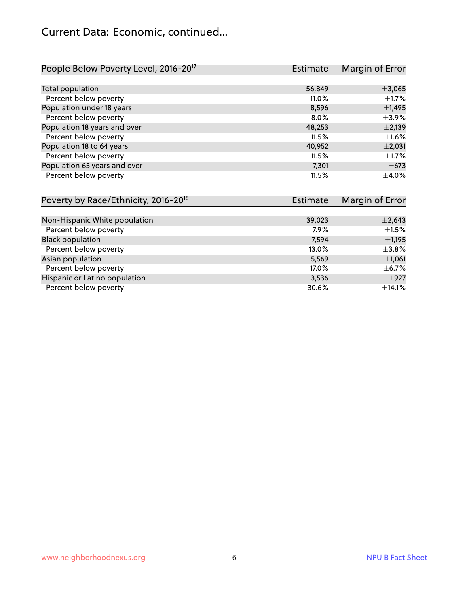# Current Data: Economic, continued...

| People Below Poverty Level, 2016-20 <sup>17</sup> | Estimate | Margin of Error |
|---------------------------------------------------|----------|-----------------|
|                                                   |          |                 |
| Total population                                  | 56,849   | ±3,065          |
| Percent below poverty                             | $11.0\%$ | $+1.7%$         |
| Population under 18 years                         | 8,596    | $\pm$ 1,495     |
| Percent below poverty                             | $8.0\%$  | $\pm$ 3.9%      |
| Population 18 years and over                      | 48,253   | $\pm 2,139$     |
| Percent below poverty                             | 11.5%    | $\pm 1.6\%$     |
| Population 18 to 64 years                         | 40,952   | $\pm 2,031$     |
| Percent below poverty                             | 11.5%    | $\pm$ 1.7%      |
| Population 65 years and over                      | 7,301    | $\pm$ 673       |
| Percent below poverty                             | 11.5%    | $\pm$ 4.0%      |

| Poverty by Race/Ethnicity, 2016-20 <sup>18</sup> | Estimate | Margin of Error |
|--------------------------------------------------|----------|-----------------|
|                                                  |          |                 |
| Non-Hispanic White population                    | 39,023   | $\pm 2,643$     |
| Percent below poverty                            | 7.9%     | $\pm 1.5\%$     |
| <b>Black population</b>                          | 7,594    | $\pm$ 1,195     |
| Percent below poverty                            | 13.0%    | $\pm$ 3.8%      |
| Asian population                                 | 5,569    | $\pm$ 1,061     |
| Percent below poverty                            | 17.0%    | $\pm$ 6.7%      |
| Hispanic or Latino population                    | 3,536    | $\pm$ 927       |
| Percent below poverty                            | 30.6%    | ±14.1%          |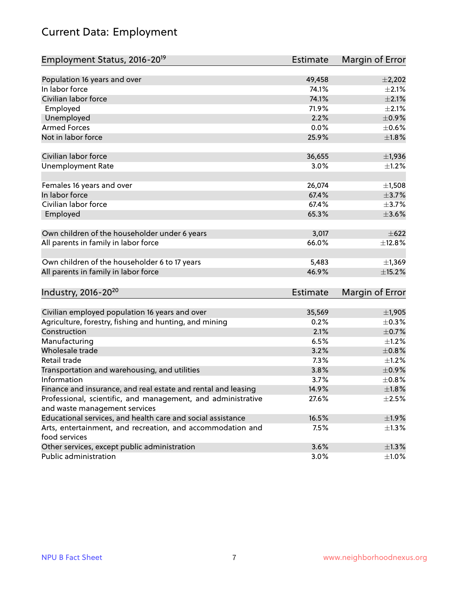# Current Data: Employment

| Employment Status, 2016-20 <sup>19</sup>                                    | <b>Estimate</b> | Margin of Error |
|-----------------------------------------------------------------------------|-----------------|-----------------|
|                                                                             |                 |                 |
| Population 16 years and over                                                | 49,458          | $\pm$ 2,202     |
| In labor force                                                              | 74.1%           | $\pm 2.1\%$     |
| Civilian labor force                                                        | 74.1%           | $\pm 2.1\%$     |
| Employed                                                                    | 71.9%           | $\pm 2.1\%$     |
| Unemployed                                                                  | 2.2%            | $\pm$ 0.9%      |
| <b>Armed Forces</b>                                                         | 0.0%            | $\pm$ 0.6%      |
| Not in labor force                                                          | 25.9%           | ±1.8%           |
| Civilian labor force                                                        | 36,655          | $\pm$ 1,936     |
| <b>Unemployment Rate</b>                                                    | 3.0%            | $\pm 1.2\%$     |
|                                                                             |                 |                 |
| Females 16 years and over                                                   | 26,074          | $\pm$ 1,508     |
| In labor force                                                              | 67.4%           | $\pm$ 3.7%      |
| Civilian labor force                                                        | 67.4%           | $\pm$ 3.7%      |
| Employed                                                                    | 65.3%           | $\pm 3.6\%$     |
|                                                                             |                 |                 |
| Own children of the householder under 6 years                               | 3,017           | $\pm$ 622       |
| All parents in family in labor force                                        | 66.0%           | ±12.8%          |
| Own children of the householder 6 to 17 years                               | 5,483           | ±1,369          |
| All parents in family in labor force                                        | 46.9%           | ±15.2%          |
|                                                                             |                 |                 |
| Industry, 2016-20 <sup>20</sup>                                             | <b>Estimate</b> | Margin of Error |
|                                                                             | 35,569          | $\pm$ 1,905     |
| Civilian employed population 16 years and over                              | 0.2%            | $\pm$ 0.3%      |
| Agriculture, forestry, fishing and hunting, and mining<br>Construction      |                 |                 |
|                                                                             | 2.1%            | $\pm$ 0.7%      |
| Manufacturing                                                               | 6.5%            | $\pm$ 1.2%      |
| Wholesale trade                                                             | 3.2%            | $\pm 0.8\%$     |
| Retail trade                                                                | 7.3%            | ±1.2%           |
| Transportation and warehousing, and utilities                               | 3.8%            | $\pm$ 0.9%      |
| Information                                                                 | 3.7%            | $\pm$ 0.8%      |
| Finance and insurance, and real estate and rental and leasing               | 14.9%           | ±1.8%           |
| Professional, scientific, and management, and administrative                | 27.6%           | $\pm 2.5\%$     |
| and waste management services                                               |                 |                 |
| Educational services, and health care and social assistance                 | 16.5%           | ±1.9%           |
| Arts, entertainment, and recreation, and accommodation and<br>food services | 7.5%            | $\pm 1.3\%$     |
| Other services, except public administration                                | 3.6%            | $\pm 1.3\%$     |
| Public administration                                                       | 3.0%            | ±1.0%           |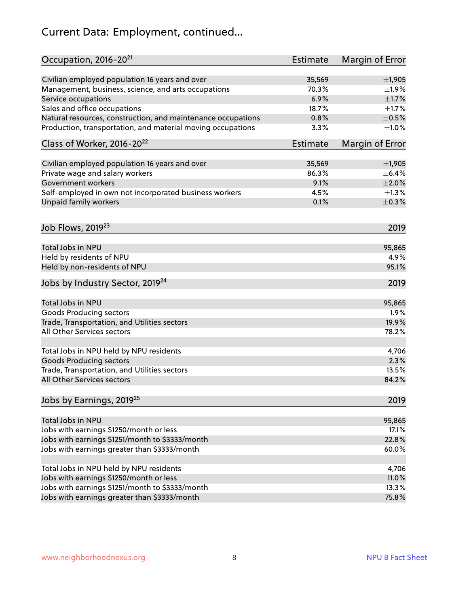# Current Data: Employment, continued...

| Occupation, 2016-20 <sup>21</sup>                            | <b>Estimate</b> | Margin of Error |
|--------------------------------------------------------------|-----------------|-----------------|
| Civilian employed population 16 years and over               | 35,569          | $\pm$ 1,905     |
| Management, business, science, and arts occupations          | 70.3%           | $\pm 1.9\%$     |
| Service occupations                                          | 6.9%            | $\pm1.7\%$      |
| Sales and office occupations                                 | 18.7%           | $\pm 1.7\%$     |
| Natural resources, construction, and maintenance occupations | 0.8%            | $\pm$ 0.5%      |
| Production, transportation, and material moving occupations  | 3.3%            | $\pm1.0\%$      |
| Class of Worker, 2016-20 <sup>22</sup>                       | <b>Estimate</b> | Margin of Error |
| Civilian employed population 16 years and over               | 35,569          | ±1,905          |
| Private wage and salary workers                              | 86.3%           | $\pm$ 6.4%      |
| <b>Government workers</b>                                    | 9.1%            | $\pm 2.0\%$     |
| Self-employed in own not incorporated business workers       | 4.5%            | $\pm 1.3\%$     |
| Unpaid family workers                                        | 0.1%            | $\pm$ 0.3%      |
| Job Flows, 2019 <sup>23</sup>                                |                 | 2019            |
| <b>Total Jobs in NPU</b>                                     |                 | 95,865          |
| Held by residents of NPU                                     |                 | 4.9%            |
| Held by non-residents of NPU                                 |                 | 95.1%           |
| Jobs by Industry Sector, 2019 <sup>24</sup>                  |                 | 2019            |
| Total Jobs in NPU                                            |                 | 95,865          |
| <b>Goods Producing sectors</b>                               |                 | 1.9%            |
| Trade, Transportation, and Utilities sectors                 |                 | 19.9%           |
| All Other Services sectors                                   |                 | 78.2%           |
| Total Jobs in NPU held by NPU residents                      |                 | 4,706           |
| <b>Goods Producing sectors</b>                               |                 | 2.3%            |
| Trade, Transportation, and Utilities sectors                 |                 | 13.5%           |
| All Other Services sectors                                   |                 | 84.2%           |
| Jobs by Earnings, 2019 <sup>25</sup>                         |                 | 2019            |
|                                                              |                 |                 |
| Total Jobs in NPU                                            |                 | 95,865          |
| Jobs with earnings \$1250/month or less                      |                 | 17.1%           |
| Jobs with earnings \$1251/month to \$3333/month              |                 | 22.8%           |
| Jobs with earnings greater than \$3333/month                 |                 | 60.0%           |
| Total Jobs in NPU held by NPU residents                      |                 | 4,706           |
| Jobs with earnings \$1250/month or less                      |                 | 11.0%           |
| Jobs with earnings \$1251/month to \$3333/month              |                 | 13.3%           |
| Jobs with earnings greater than \$3333/month                 |                 | 75.8%           |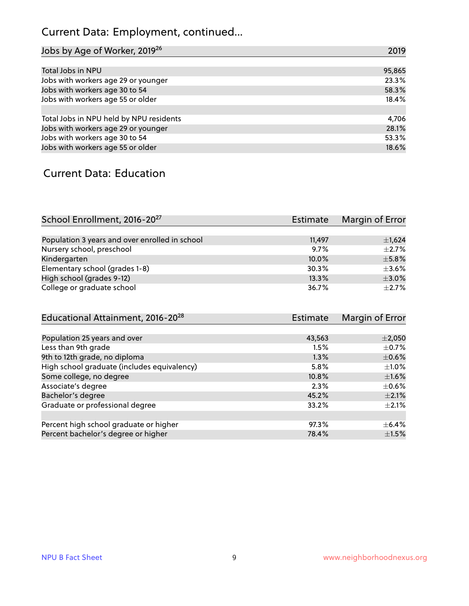# Current Data: Employment, continued...

| Jobs by Age of Worker, 2019 <sup>26</sup> | 2019   |
|-------------------------------------------|--------|
|                                           |        |
| Total Jobs in NPU                         | 95,865 |
| Jobs with workers age 29 or younger       | 23.3%  |
| Jobs with workers age 30 to 54            | 58.3%  |
| Jobs with workers age 55 or older         | 18.4%  |
|                                           |        |
| Total Jobs in NPU held by NPU residents   | 4,706  |
| Jobs with workers age 29 or younger       | 28.1%  |
| Jobs with workers age 30 to 54            | 53.3%  |
| Jobs with workers age 55 or older         | 18.6%  |

#### Current Data: Education

| School Enrollment, 2016-20 <sup>27</sup>       | Estimate | Margin of Error |
|------------------------------------------------|----------|-----------------|
|                                                |          |                 |
| Population 3 years and over enrolled in school | 11.497   | $\pm$ 1,624     |
| Nursery school, preschool                      | 9.7%     | $\pm 2.7\%$     |
| Kindergarten                                   | 10.0%    | $\pm$ 5.8%      |
| Elementary school (grades 1-8)                 | 30.3%    | $\pm$ 3.6%      |
| High school (grades 9-12)                      | 13.3%    | $\pm$ 3.0%      |
| College or graduate school                     | 36.7%    | $+2.7%$         |

| Educational Attainment, 2016-20 <sup>28</sup> | <b>Estimate</b> | Margin of Error |
|-----------------------------------------------|-----------------|-----------------|
|                                               |                 |                 |
| Population 25 years and over                  | 43,563          | $\pm 2,050$     |
| Less than 9th grade                           | 1.5%            | $\pm$ 0.7%      |
| 9th to 12th grade, no diploma                 | 1.3%            | $\pm$ 0.6%      |
| High school graduate (includes equivalency)   | 5.8%            | $\pm 1.0\%$     |
| Some college, no degree                       | 10.8%           | $\pm1.6\%$      |
| Associate's degree                            | 2.3%            | $\pm$ 0.6%      |
| Bachelor's degree                             | 45.2%           | $\pm 2.1\%$     |
| Graduate or professional degree               | 33.2%           | $\pm 2.1\%$     |
| Percent high school graduate or higher        | 97.3%           | $\pm$ 6.4%      |
| Percent bachelor's degree or higher           | 78.4%           | $\pm1.5\%$      |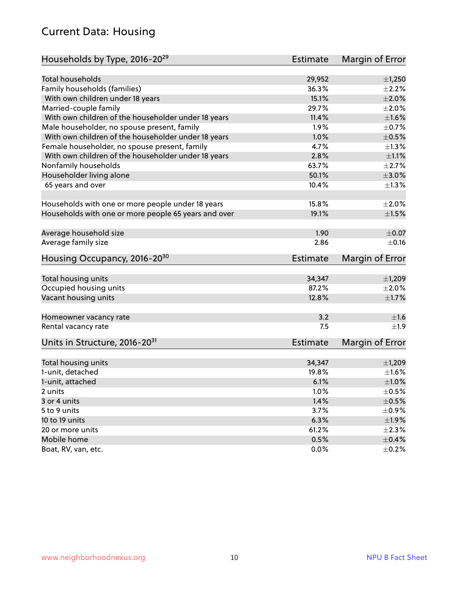#### Current Data: Housing

| Households by Type, 2016-20 <sup>29</sup>            | <b>Estimate</b> | Margin of Error      |
|------------------------------------------------------|-----------------|----------------------|
| <b>Total households</b>                              | 29,952          | $\pm$ 1,250          |
|                                                      |                 |                      |
| Family households (families)                         | 36.3%<br>15.1%  | $\pm 2.2\%$<br>±2.0% |
| With own children under 18 years                     |                 |                      |
| Married-couple family                                | 29.7%           | $\pm 2.0\%$          |
| With own children of the householder under 18 years  | 11.4%           | $\pm1.6\%$           |
| Male householder, no spouse present, family          | 1.9%            | $\pm$ 0.7%           |
| With own children of the householder under 18 years  | 1.0%            | $\pm$ 0.5%           |
| Female householder, no spouse present, family        | 4.7%            | $\pm 1.3\%$          |
| With own children of the householder under 18 years  | 2.8%            | $\pm 1.1\%$          |
| Nonfamily households                                 | 63.7%           | $\pm 2.7\%$          |
| Householder living alone                             | 50.1%           | $\pm 3.0\%$          |
| 65 years and over                                    | 10.4%           | $\pm$ 1.3%           |
| Households with one or more people under 18 years    | 15.8%           | $\pm 2.0\%$          |
| Households with one or more people 65 years and over | 19.1%           | $\pm 1.5\%$          |
|                                                      |                 |                      |
| Average household size                               | 1.90            | $\pm 0.07$           |
| Average family size                                  | 2.86            | $\pm$ 0.16           |
| Housing Occupancy, 2016-20 <sup>30</sup>             | <b>Estimate</b> | Margin of Error      |
| Total housing units                                  | 34,347          | ±1,209               |
| Occupied housing units                               | 87.2%           | $\pm 2.0\%$          |
| Vacant housing units                                 | 12.8%           | $\pm$ 1.7%           |
|                                                      |                 |                      |
| Homeowner vacancy rate                               | 3.2             | ±1.6                 |
| Rental vacancy rate                                  | 7.5             | $\pm 1.9$            |
| Units in Structure, 2016-20 <sup>31</sup>            | Estimate        | Margin of Error      |
| Total housing units                                  | 34,347          | ±1,209               |
| 1-unit, detached                                     | 19.8%           | $\pm1.6\%$           |
| 1-unit, attached                                     | 6.1%            | $\pm1.0\%$           |
|                                                      | 1.0%            |                      |
| 2 units                                              |                 | $\pm$ 0.5%           |
| 3 or 4 units                                         | 1.4%            | $\pm$ 0.5%           |
| 5 to 9 units                                         | 3.7%            | $\pm$ 0.9%           |
| 10 to 19 units                                       | 6.3%            | ±1.9%                |
| 20 or more units                                     | 61.2%           | $\pm 2.3\%$          |
| Mobile home                                          | 0.5%            | $\pm$ 0.4%           |
| Boat, RV, van, etc.                                  | 0.0%            | $\pm$ 0.2%           |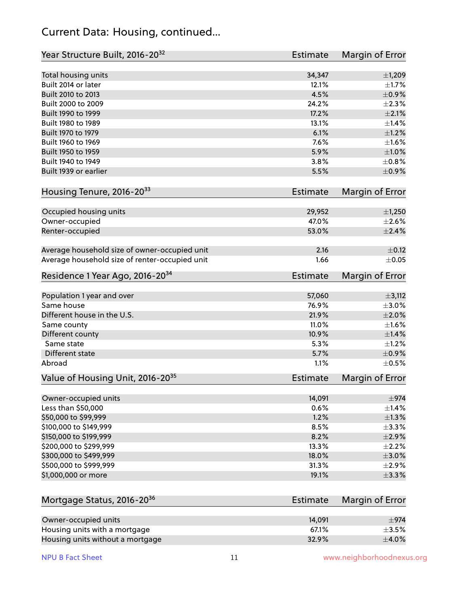#### Current Data: Housing, continued...

| Total housing units<br>34,347<br>±1,209<br>Built 2014 or later<br>12.1%<br>Built 2010 to 2013<br>4.5%<br>Built 2000 to 2009<br>24.2%<br>Built 1990 to 1999<br>17.2%<br>Built 1980 to 1989<br>13.1%<br>Built 1970 to 1979<br>6.1%<br>7.6%<br>Built 1960 to 1969<br>Built 1950 to 1959<br>5.9%<br>Built 1940 to 1949<br>3.8%<br>Built 1939 or earlier<br>5.5%<br>Housing Tenure, 2016-2033<br><b>Estimate</b><br>Occupied housing units<br>29,952<br>Owner-occupied<br>47.0%<br>Renter-occupied<br>53.0%<br>2.16<br>Average household size of owner-occupied unit<br>Average household size of renter-occupied unit<br>1.66<br>Residence 1 Year Ago, 2016-20 <sup>34</sup><br><b>Estimate</b><br>Population 1 year and over<br>57,060<br>$\pm$ 3,112<br>Same house<br>76.9%<br>$\pm 3.0\%$<br>Different house in the U.S.<br>21.9%<br>11.0%<br>Same county<br>Different county<br>10.9%<br>Same state<br>5.3%<br>Different state<br>5.7%<br>Abroad<br>1.1%<br>Value of Housing Unit, 2016-20 <sup>35</sup><br><b>Estimate</b><br>14,091<br>Owner-occupied units<br>0.6%<br>Less than \$50,000<br>\$50,000 to \$99,999<br>1.2%<br>\$100,000 to \$149,999<br>8.5%<br>\$150,000 to \$199,999<br>8.2%<br>\$200,000 to \$299,999<br>13.3%<br>\$300,000 to \$499,999<br>18.0%<br>\$500,000 to \$999,999<br>31.3%<br>\$1,000,000 or more<br>19.1%<br>Mortgage Status, 2016-20 <sup>36</sup><br><b>Estimate</b><br>Owner-occupied units<br>14,091<br>$\pm$ 974 | Year Structure Built, 2016-20 <sup>32</sup> | Estimate | <b>Margin of Error</b> |
|------------------------------------------------------------------------------------------------------------------------------------------------------------------------------------------------------------------------------------------------------------------------------------------------------------------------------------------------------------------------------------------------------------------------------------------------------------------------------------------------------------------------------------------------------------------------------------------------------------------------------------------------------------------------------------------------------------------------------------------------------------------------------------------------------------------------------------------------------------------------------------------------------------------------------------------------------------------------------------------------------------------------------------------------------------------------------------------------------------------------------------------------------------------------------------------------------------------------------------------------------------------------------------------------------------------------------------------------------------------------------------------------------------------------------------------------------|---------------------------------------------|----------|------------------------|
|                                                                                                                                                                                                                                                                                                                                                                                                                                                                                                                                                                                                                                                                                                                                                                                                                                                                                                                                                                                                                                                                                                                                                                                                                                                                                                                                                                                                                                                      |                                             |          |                        |
|                                                                                                                                                                                                                                                                                                                                                                                                                                                                                                                                                                                                                                                                                                                                                                                                                                                                                                                                                                                                                                                                                                                                                                                                                                                                                                                                                                                                                                                      |                                             |          | $\pm1.7\%$             |
|                                                                                                                                                                                                                                                                                                                                                                                                                                                                                                                                                                                                                                                                                                                                                                                                                                                                                                                                                                                                                                                                                                                                                                                                                                                                                                                                                                                                                                                      |                                             |          | $\pm$ 0.9%             |
|                                                                                                                                                                                                                                                                                                                                                                                                                                                                                                                                                                                                                                                                                                                                                                                                                                                                                                                                                                                                                                                                                                                                                                                                                                                                                                                                                                                                                                                      |                                             |          | ±2.3%                  |
|                                                                                                                                                                                                                                                                                                                                                                                                                                                                                                                                                                                                                                                                                                                                                                                                                                                                                                                                                                                                                                                                                                                                                                                                                                                                                                                                                                                                                                                      |                                             |          | $\pm 2.1\%$            |
|                                                                                                                                                                                                                                                                                                                                                                                                                                                                                                                                                                                                                                                                                                                                                                                                                                                                                                                                                                                                                                                                                                                                                                                                                                                                                                                                                                                                                                                      |                                             |          | $\pm$ 1.4%             |
|                                                                                                                                                                                                                                                                                                                                                                                                                                                                                                                                                                                                                                                                                                                                                                                                                                                                                                                                                                                                                                                                                                                                                                                                                                                                                                                                                                                                                                                      |                                             |          | $\pm$ 1.2%             |
|                                                                                                                                                                                                                                                                                                                                                                                                                                                                                                                                                                                                                                                                                                                                                                                                                                                                                                                                                                                                                                                                                                                                                                                                                                                                                                                                                                                                                                                      |                                             |          | $\pm1.6\%$             |
|                                                                                                                                                                                                                                                                                                                                                                                                                                                                                                                                                                                                                                                                                                                                                                                                                                                                                                                                                                                                                                                                                                                                                                                                                                                                                                                                                                                                                                                      |                                             |          | $\pm1.0\%$             |
|                                                                                                                                                                                                                                                                                                                                                                                                                                                                                                                                                                                                                                                                                                                                                                                                                                                                                                                                                                                                                                                                                                                                                                                                                                                                                                                                                                                                                                                      |                                             |          | ±0.8%                  |
|                                                                                                                                                                                                                                                                                                                                                                                                                                                                                                                                                                                                                                                                                                                                                                                                                                                                                                                                                                                                                                                                                                                                                                                                                                                                                                                                                                                                                                                      |                                             |          | $\pm$ 0.9%             |
|                                                                                                                                                                                                                                                                                                                                                                                                                                                                                                                                                                                                                                                                                                                                                                                                                                                                                                                                                                                                                                                                                                                                                                                                                                                                                                                                                                                                                                                      |                                             |          | Margin of Error        |
|                                                                                                                                                                                                                                                                                                                                                                                                                                                                                                                                                                                                                                                                                                                                                                                                                                                                                                                                                                                                                                                                                                                                                                                                                                                                                                                                                                                                                                                      |                                             |          | ±1,250                 |
|                                                                                                                                                                                                                                                                                                                                                                                                                                                                                                                                                                                                                                                                                                                                                                                                                                                                                                                                                                                                                                                                                                                                                                                                                                                                                                                                                                                                                                                      |                                             |          | $\pm 2.6\%$            |
|                                                                                                                                                                                                                                                                                                                                                                                                                                                                                                                                                                                                                                                                                                                                                                                                                                                                                                                                                                                                                                                                                                                                                                                                                                                                                                                                                                                                                                                      |                                             |          | $\pm 2.4\%$            |
|                                                                                                                                                                                                                                                                                                                                                                                                                                                                                                                                                                                                                                                                                                                                                                                                                                                                                                                                                                                                                                                                                                                                                                                                                                                                                                                                                                                                                                                      |                                             |          | $\pm$ 0.12             |
|                                                                                                                                                                                                                                                                                                                                                                                                                                                                                                                                                                                                                                                                                                                                                                                                                                                                                                                                                                                                                                                                                                                                                                                                                                                                                                                                                                                                                                                      |                                             |          | $\pm$ 0.05             |
|                                                                                                                                                                                                                                                                                                                                                                                                                                                                                                                                                                                                                                                                                                                                                                                                                                                                                                                                                                                                                                                                                                                                                                                                                                                                                                                                                                                                                                                      |                                             |          | <b>Margin of Error</b> |
|                                                                                                                                                                                                                                                                                                                                                                                                                                                                                                                                                                                                                                                                                                                                                                                                                                                                                                                                                                                                                                                                                                                                                                                                                                                                                                                                                                                                                                                      |                                             |          |                        |
|                                                                                                                                                                                                                                                                                                                                                                                                                                                                                                                                                                                                                                                                                                                                                                                                                                                                                                                                                                                                                                                                                                                                                                                                                                                                                                                                                                                                                                                      |                                             |          |                        |
|                                                                                                                                                                                                                                                                                                                                                                                                                                                                                                                                                                                                                                                                                                                                                                                                                                                                                                                                                                                                                                                                                                                                                                                                                                                                                                                                                                                                                                                      |                                             |          | $\pm 2.0\%$            |
|                                                                                                                                                                                                                                                                                                                                                                                                                                                                                                                                                                                                                                                                                                                                                                                                                                                                                                                                                                                                                                                                                                                                                                                                                                                                                                                                                                                                                                                      |                                             |          | $\pm1.6\%$             |
|                                                                                                                                                                                                                                                                                                                                                                                                                                                                                                                                                                                                                                                                                                                                                                                                                                                                                                                                                                                                                                                                                                                                                                                                                                                                                                                                                                                                                                                      |                                             |          | $\pm$ 1.4%             |
|                                                                                                                                                                                                                                                                                                                                                                                                                                                                                                                                                                                                                                                                                                                                                                                                                                                                                                                                                                                                                                                                                                                                                                                                                                                                                                                                                                                                                                                      |                                             |          | $\pm 1.2\%$            |
|                                                                                                                                                                                                                                                                                                                                                                                                                                                                                                                                                                                                                                                                                                                                                                                                                                                                                                                                                                                                                                                                                                                                                                                                                                                                                                                                                                                                                                                      |                                             |          | $\pm$ 0.9%             |
|                                                                                                                                                                                                                                                                                                                                                                                                                                                                                                                                                                                                                                                                                                                                                                                                                                                                                                                                                                                                                                                                                                                                                                                                                                                                                                                                                                                                                                                      |                                             |          | $\pm$ 0.5%             |
|                                                                                                                                                                                                                                                                                                                                                                                                                                                                                                                                                                                                                                                                                                                                                                                                                                                                                                                                                                                                                                                                                                                                                                                                                                                                                                                                                                                                                                                      |                                             |          | Margin of Error        |
|                                                                                                                                                                                                                                                                                                                                                                                                                                                                                                                                                                                                                                                                                                                                                                                                                                                                                                                                                                                                                                                                                                                                                                                                                                                                                                                                                                                                                                                      |                                             |          | $\pm$ 974              |
|                                                                                                                                                                                                                                                                                                                                                                                                                                                                                                                                                                                                                                                                                                                                                                                                                                                                                                                                                                                                                                                                                                                                                                                                                                                                                                                                                                                                                                                      |                                             |          | ±1.4%                  |
|                                                                                                                                                                                                                                                                                                                                                                                                                                                                                                                                                                                                                                                                                                                                                                                                                                                                                                                                                                                                                                                                                                                                                                                                                                                                                                                                                                                                                                                      |                                             |          | ±1.3%                  |
|                                                                                                                                                                                                                                                                                                                                                                                                                                                                                                                                                                                                                                                                                                                                                                                                                                                                                                                                                                                                                                                                                                                                                                                                                                                                                                                                                                                                                                                      |                                             |          | ±3.3%                  |
|                                                                                                                                                                                                                                                                                                                                                                                                                                                                                                                                                                                                                                                                                                                                                                                                                                                                                                                                                                                                                                                                                                                                                                                                                                                                                                                                                                                                                                                      |                                             |          | $\pm 2.9\%$            |
|                                                                                                                                                                                                                                                                                                                                                                                                                                                                                                                                                                                                                                                                                                                                                                                                                                                                                                                                                                                                                                                                                                                                                                                                                                                                                                                                                                                                                                                      |                                             |          | $\pm 2.2\%$            |
|                                                                                                                                                                                                                                                                                                                                                                                                                                                                                                                                                                                                                                                                                                                                                                                                                                                                                                                                                                                                                                                                                                                                                                                                                                                                                                                                                                                                                                                      |                                             |          | $\pm 3.0\%$            |
|                                                                                                                                                                                                                                                                                                                                                                                                                                                                                                                                                                                                                                                                                                                                                                                                                                                                                                                                                                                                                                                                                                                                                                                                                                                                                                                                                                                                                                                      |                                             |          | $\pm 2.9\%$            |
|                                                                                                                                                                                                                                                                                                                                                                                                                                                                                                                                                                                                                                                                                                                                                                                                                                                                                                                                                                                                                                                                                                                                                                                                                                                                                                                                                                                                                                                      |                                             |          | ±3.3%                  |
|                                                                                                                                                                                                                                                                                                                                                                                                                                                                                                                                                                                                                                                                                                                                                                                                                                                                                                                                                                                                                                                                                                                                                                                                                                                                                                                                                                                                                                                      |                                             |          | <b>Margin of Error</b> |
|                                                                                                                                                                                                                                                                                                                                                                                                                                                                                                                                                                                                                                                                                                                                                                                                                                                                                                                                                                                                                                                                                                                                                                                                                                                                                                                                                                                                                                                      |                                             |          |                        |
| Housing units with a mortgage<br>67.1%                                                                                                                                                                                                                                                                                                                                                                                                                                                                                                                                                                                                                                                                                                                                                                                                                                                                                                                                                                                                                                                                                                                                                                                                                                                                                                                                                                                                               |                                             |          | $\pm$ 3.5%             |

Housing units without a mortgage  $\pm 4.0\%$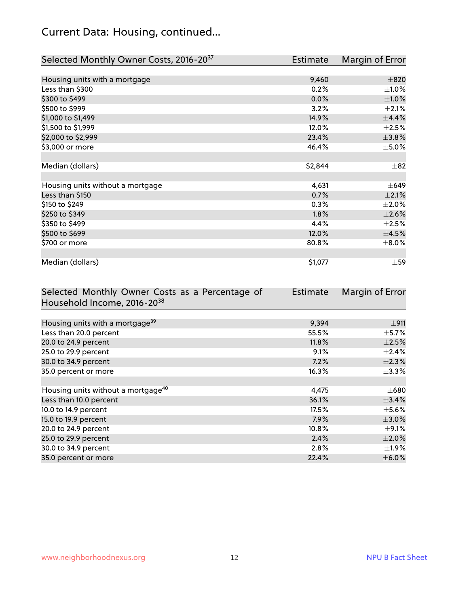# Current Data: Housing, continued...

| Selected Monthly Owner Costs, 2016-20 <sup>37</sup> | Estimate | Margin of Error |
|-----------------------------------------------------|----------|-----------------|
|                                                     |          |                 |
| Housing units with a mortgage                       | 9,460    | $\pm 820$       |
| Less than \$300                                     | 0.2%     | $\pm 1.0\%$     |
| \$300 to \$499                                      | 0.0%     | $\pm1.0\%$      |
| \$500 to \$999                                      | 3.2%     | $\pm 2.1\%$     |
| \$1,000 to \$1,499                                  | 14.9%    | ±4.4%           |
| \$1,500 to \$1,999                                  | 12.0%    | $\pm 2.5\%$     |
| \$2,000 to \$2,999                                  | 23.4%    | ±3.8%           |
| \$3,000 or more                                     | 46.4%    | $\pm$ 5.0%      |
|                                                     |          |                 |
| Median (dollars)                                    | \$2,844  | $\pm$ 82        |
|                                                     |          |                 |
| Housing units without a mortgage                    | 4,631    | $\pm 649$       |
| Less than \$150                                     | 0.7%     | $\pm 2.1\%$     |
| \$150 to \$249                                      | 0.3%     | $\pm 2.0\%$     |
| \$250 to \$349                                      | 1.8%     | $\pm 2.6\%$     |
| \$350 to \$499                                      | 4.4%     | $\pm 2.5\%$     |
| \$500 to \$699                                      | 12.0%    | $\pm$ 4.5%      |
| \$700 or more                                       | 80.8%    | $\pm$ 8.0%      |
|                                                     |          |                 |
| Median (dollars)                                    | \$1,077  | $\pm$ 59        |

| Selected Monthly Owner Costs as a Percentage of | <b>Estimate</b> | Margin of Error |
|-------------------------------------------------|-----------------|-----------------|
| Household Income, 2016-20 <sup>38</sup>         |                 |                 |
|                                                 |                 |                 |
| Housing units with a mortgage <sup>39</sup>     | 9,394           | ±911            |
| Less than 20.0 percent                          | 55.5%           | $\pm$ 5.7%      |
| 20.0 to 24.9 percent                            | 11.8%           | $\pm 2.5\%$     |
| 25.0 to 29.9 percent                            | 9.1%            | $\pm$ 2.4%      |
| 30.0 to 34.9 percent                            | 7.2%            | $\pm 2.3\%$     |
| 35.0 percent or more                            | 16.3%           | $\pm$ 3.3%      |
|                                                 |                 |                 |
| Housing units without a mortgage <sup>40</sup>  | 4,475           | $\pm 680$       |
| Less than 10.0 percent                          | 36.1%           | $\pm$ 3.4%      |
| 10.0 to 14.9 percent                            | 17.5%           | $\pm$ 5.6%      |
| 15.0 to 19.9 percent                            | $7.9\%$         | $\pm 3.0\%$     |
| 20.0 to 24.9 percent                            | 10.8%           | $\pm$ 9.1%      |
| 25.0 to 29.9 percent                            | 2.4%            | $\pm 2.0\%$     |
| 30.0 to 34.9 percent                            | $2.8\%$         | $\pm 1.9\%$     |
| 35.0 percent or more                            | 22.4%           | $\pm$ 6.0%      |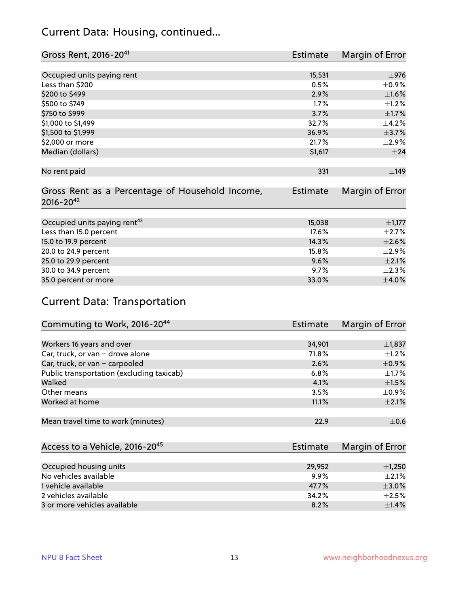#### Current Data: Housing, continued...

| Gross Rent, 2016-20 <sup>41</sup>               | Estimate        | Margin of Error |
|-------------------------------------------------|-----------------|-----------------|
|                                                 |                 |                 |
| Occupied units paying rent                      | 15,531          | $\pm$ 976       |
| Less than \$200                                 | 0.5%            | $\pm$ 0.9%      |
| \$200 to \$499                                  | 2.9%            | $\pm1.6\%$      |
| \$500 to \$749                                  | 1.7%            | $\pm 1.2\%$     |
| \$750 to \$999                                  | 3.7%            | $\pm1.7\%$      |
| \$1,000 to \$1,499                              | 32.7%           | $\pm$ 4.2%      |
| \$1,500 to \$1,999                              | 36.9%           | $\pm$ 3.7%      |
| \$2,000 or more                                 | 21.7%           | $\pm 2.9\%$     |
| Median (dollars)                                | \$1,617         | $\pm$ 24        |
|                                                 |                 |                 |
| No rent paid                                    | 331             | ±149            |
|                                                 |                 |                 |
| Gross Rent as a Percentage of Household Income, | <b>Estimate</b> | Margin of Error |
| $2016 - 20^{42}$                                |                 |                 |
|                                                 |                 |                 |
| Occupied units paying rent <sup>43</sup>        | 15,038          | $\pm$ 1,177     |
| Less than 15.0 percent                          | 17.6%           | $\pm 2.7\%$     |
| 15.0 to 19.9 percent                            | 14.3%           | $\pm 2.6\%$     |
| 20.0 to 24.9 percent                            | 15.8%           | $\pm 2.9\%$     |
| 25.0 to 29.9 percent                            | 9.6%            | $\pm 2.1\%$     |
| 30.0 to 34.9 percent                            | 9.7%            | $\pm 2.3\%$     |
| 35.0 percent or more                            | 33.0%           | $\pm$ 4.0%      |

#### Current Data: Transportation

| Commuting to Work, 2016-20 <sup>44</sup>  | <b>Estimate</b> | Margin of Error |
|-------------------------------------------|-----------------|-----------------|
|                                           |                 |                 |
| Workers 16 years and over                 | 34,901          | $\pm$ 1,837     |
| Car, truck, or van - drove alone          | 71.8%           | $\pm 1.2\%$     |
| Car, truck, or van - carpooled            | 2.6%            | $\pm$ 0.9%      |
| Public transportation (excluding taxicab) | 6.8%            | $\pm$ 1.7%      |
| Walked                                    | 4.1%            | $\pm 1.5\%$     |
| Other means                               | 3.5%            | $\pm$ 0.9%      |
| Worked at home                            | 11.1%           | $\pm 2.1\%$     |
|                                           |                 |                 |
| Mean travel time to work (minutes)        | 22.9            | $\pm$ 0.6       |

| Access to a Vehicle, 2016-20 <sup>45</sup> | Estimate | Margin of Error |
|--------------------------------------------|----------|-----------------|
|                                            |          |                 |
| Occupied housing units                     | 29,952   | $\pm$ 1,250     |
| No vehicles available                      | $9.9\%$  | $+2.1%$         |
| 1 vehicle available                        | 47.7%    | $\pm$ 3.0%      |
| 2 vehicles available                       | 34.2%    | $+2.5%$         |
| 3 or more vehicles available               | 8.2%     | $\pm$ 1.4%      |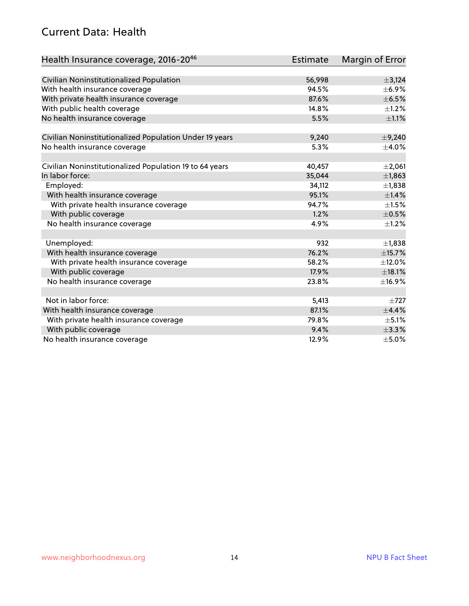#### Current Data: Health

| Health Insurance coverage, 2016-20 <sup>46</sup>        | <b>Estimate</b> | Margin of Error |
|---------------------------------------------------------|-----------------|-----------------|
|                                                         |                 |                 |
| Civilian Noninstitutionalized Population                | 56,998          | ±3,124          |
| With health insurance coverage                          | 94.5%           | $\pm$ 6.9%      |
| With private health insurance coverage                  | 87.6%           | $\pm$ 6.5%      |
| With public health coverage                             | 14.8%           | $\pm$ 1.2%      |
| No health insurance coverage                            | 5.5%            | $\pm 1.1\%$     |
| Civilian Noninstitutionalized Population Under 19 years | 9,240           | ±9,240          |
| No health insurance coverage                            | 5.3%            | $\pm$ 4.0%      |
| Civilian Noninstitutionalized Population 19 to 64 years | 40,457          | ±2,061          |
| In labor force:                                         | 35,044          | ±1,863          |
| Employed:                                               | 34,112          | ±1,838          |
| With health insurance coverage                          | 95.1%           | ±1.4%           |
| With private health insurance coverage                  | 94.7%           | $\pm 1.5\%$     |
| With public coverage                                    | 1.2%            | $\pm$ 0.5%      |
| No health insurance coverage                            | 4.9%            | $\pm 1.2\%$     |
| Unemployed:                                             | 932             | ±1,838          |
| With health insurance coverage                          | 76.2%           | ±15.7%          |
| With private health insurance coverage                  | 58.2%           | ±12.0%          |
| With public coverage                                    | 17.9%           | ±18.1%          |
| No health insurance coverage                            | 23.8%           | ±16.9%          |
|                                                         |                 |                 |
| Not in labor force:                                     | 5,413           | $\pm 727$       |
| With health insurance coverage                          | 87.1%           | ±4.4%           |
| With private health insurance coverage                  | 79.8%           | $\pm$ 5.1%      |
| With public coverage                                    | 9.4%            | ±3.3%           |
| No health insurance coverage                            | 12.9%           | $\pm$ 5.0%      |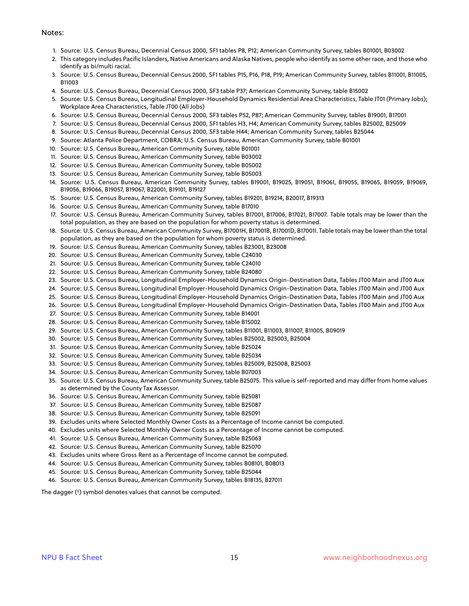#### Notes:

- 1. Source: U.S. Census Bureau, Decennial Census 2000, SF1 tables P8, P12; American Community Survey, tables B01001, B03002
- 2. This category includes Pacific Islanders, Native Americans and Alaska Natives, people who identify as some other race, and those who identify as bi/multi racial.
- 3. Source: U.S. Census Bureau, Decennial Census 2000, SF1 tables P15, P16, P18, P19; American Community Survey, tables B11001, B11005, B11003
- 4. Source: U.S. Census Bureau, Decennial Census 2000, SF3 table P37; American Community Survey, table B15002
- 5. Source: U.S. Census Bureau, Longitudinal Employer-Household Dynamics Residential Area Characteristics, Table JT01 (Primary Jobs); Workplace Area Characteristics, Table JT00 (All Jobs)
- 6. Source: U.S. Census Bureau, Decennial Census 2000, SF3 tables P52, P87; American Community Survey, tables B19001, B17001
- 7. Source: U.S. Census Bureau, Decennial Census 2000, SF1 tables H3, H4; American Community Survey, tables B25002, B25009
- 8. Source: U.S. Census Bureau, Decennial Census 2000, SF3 table H44; American Community Survey, tables B25044
- 9. Source: Atlanta Police Department, COBRA; U.S. Census Bureau, American Community Survey, table B01001
- 10. Source: U.S. Census Bureau, American Community Survey, table B01001
- 11. Source: U.S. Census Bureau, American Community Survey, table B03002
- 12. Source: U.S. Census Bureau, American Community Survey, table B05002
- 13. Source: U.S. Census Bureau, American Community Survey, table B05003
- 14. Source: U.S. Census Bureau, American Community Survey, tables B19001, B19025, B19051, B19061, B19055, B19065, B19059, B19069, B19056, B19066, B19057, B19067, B22001, B19101, B19127
- 15. Source: U.S. Census Bureau, American Community Survey, tables B19201, B19214, B20017, B19313
- 16. Source: U.S. Census Bureau, American Community Survey, table B17010
- 17. Source: U.S. Census Bureau, American Community Survey, tables B17001, B17006, B17021, B17007. Table totals may be lower than the total population, as they are based on the population for whom poverty status is determined.
- 18. Source: U.S. Census Bureau, American Community Survey, B17001H, B17001B, B17001D, B17001I. Table totals may be lower than the total population, as they are based on the population for whom poverty status is determined.
- 19. Source: U.S. Census Bureau, American Community Survey, tables B23001, B23008
- 20. Source: U.S. Census Bureau, American Community Survey, table C24030
- 21. Source: U.S. Census Bureau, American Community Survey, table C24010
- 22. Source: U.S. Census Bureau, American Community Survey, table B24080
- 23. Source: U.S. Census Bureau, Longitudinal Employer-Household Dynamics Origin-Destination Data, Tables JT00 Main and JT00 Aux
- 24. Source: U.S. Census Bureau, Longitudinal Employer-Household Dynamics Origin-Destination Data, Tables JT00 Main and JT00 Aux
- 25. Source: U.S. Census Bureau, Longitudinal Employer-Household Dynamics Origin-Destination Data, Tables JT00 Main and JT00 Aux
- 26. Source: U.S. Census Bureau, Longitudinal Employer-Household Dynamics Origin-Destination Data, Tables JT00 Main and JT00 Aux
- 27. Source: U.S. Census Bureau, American Community Survey, table B14001
- 28. Source: U.S. Census Bureau, American Community Survey, table B15002
- 29. Source: U.S. Census Bureau, American Community Survey, tables B11001, B11003, B11007, B11005, B09019
- 30. Source: U.S. Census Bureau, American Community Survey, tables B25002, B25003, B25004
- 31. Source: U.S. Census Bureau, American Community Survey, table B25024
- 32. Source: U.S. Census Bureau, American Community Survey, table B25034
- 33. Source: U.S. Census Bureau, American Community Survey, tables B25009, B25008, B25003
- 34. Source: U.S. Census Bureau, American Community Survey, table B07003
- 35. Source: U.S. Census Bureau, American Community Survey, table B25075. This value is self-reported and may differ from home values as determined by the County Tax Assessor.
- 36. Source: U.S. Census Bureau, American Community Survey, table B25081
- 37. Source: U.S. Census Bureau, American Community Survey, table B25087
- 38. Source: U.S. Census Bureau, American Community Survey, table B25091
- 39. Excludes units where Selected Monthly Owner Costs as a Percentage of Income cannot be computed.
- 40. Excludes units where Selected Monthly Owner Costs as a Percentage of Income cannot be computed.
- 41. Source: U.S. Census Bureau, American Community Survey, table B25063
- 42. Source: U.S. Census Bureau, American Community Survey, table B25070
- 43. Excludes units where Gross Rent as a Percentage of Income cannot be computed.
- 44. Source: U.S. Census Bureau, American Community Survey, tables B08101, B08013
- 45. Source: U.S. Census Bureau, American Community Survey, table B25044
- 46. Source: U.S. Census Bureau, American Community Survey, tables B18135, B27011

The dagger (†) symbol denotes values that cannot be computed.